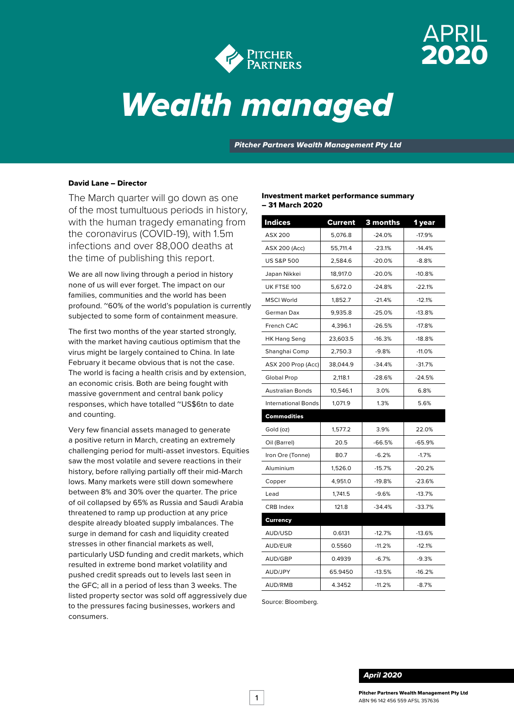

# APRIL 2020

# *Wealth managed*

*Pitcher Partners Wealth Management Pty Ltd*

#### David Lane – Director

The March quarter will go down as one of the most tumultuous periods in history, with the human tragedy emanating from the coronavirus (COVID-19), with 1.5m infections and over 88,000 deaths at the time of publishing this report.

We are all now living through a period in history none of us will ever forget. The impact on our families, communities and the world has been profound. ~60% of the world's population is currently subjected to some form of containment measure.

The first two months of the year started strongly, with the market having cautious optimism that the virus might be largely contained to China. In late February it became obvious that is not the case. The world is facing a health crisis and by extension, an economic crisis. Both are being fought with massive government and central bank policy responses, which have totalled ~US\$6tn to date and counting.

Very few financial assets managed to generate a positive return in March, creating an extremely challenging period for multi-asset investors. Equities saw the most volatile and severe reactions in their history, before rallying partially off their mid-March lows. Many markets were still down somewhere between 8% and 30% over the quarter. The price of oil collapsed by 65% as Russia and Saudi Arabia threatened to ramp up production at any price despite already bloated supply imbalances. The surge in demand for cash and liquidity created stresses in other financial markets as well, particularly USD funding and credit markets, which resulted in extreme bond market volatility and pushed credit spreads out to levels last seen in the GFC; all in a period of less than 3 weeks. The listed property sector was sold off aggressively due to the pressures facing businesses, workers and consumers.

#### Investment market performance summary – 31 March 2020

| <b>Indices</b>             | Current  | 3 months | 1 year   |
|----------------------------|----------|----------|----------|
| <b>ASX 200</b>             | 5,076.8  | $-24.0%$ | $-17.9%$ |
| <b>ASX 200 (Acc)</b>       | 55,711.4 | $-23.1%$ | $-14.4%$ |
| <b>US S&amp;P 500</b>      | 2,584.6  | $-20.0%$ | $-8.8%$  |
| Japan Nikkei               | 18,917.0 | $-20.0%$ | $-10.8%$ |
| UK FTSE 100                | 5,672.0  | $-24.8%$ | $-22.1%$ |
| <b>MSCI World</b>          | 1,852.7  | $-21.4%$ | $-12.1%$ |
| German Dax                 | 9,935.8  | $-25.0%$ | $-13.8%$ |
| French CAC                 | 4,396.1  | $-26.5%$ | $-17.8%$ |
| <b>HK Hang Seng</b>        | 23,603.5 | $-16.3%$ | $-18.8%$ |
| Shanghai Comp              | 2,750.3  | $-9.8%$  | $-11.0%$ |
| ASX 200 Prop (Acc)         | 38,044.9 | $-34.4%$ | $-31.7%$ |
| <b>Global Prop</b>         | 2,118.1  | $-28.6%$ | $-24.5%$ |
| <b>Australian Bonds</b>    | 10,546.1 | 3.0%     | 6.8%     |
| <b>International Bonds</b> | 1,071.9  | 1.3%     | 5.6%     |
| Commodities                |          |          |          |
| Gold (oz)                  | 1,577.2  | 3.9%     | 22.0%    |
| Oil (Barrel)               | 20.5     | $-66.5%$ | $-65.9%$ |
| Iron Ore (Tonne)           | 80.7     | $-6.2%$  | $-1.7%$  |
| Aluminium                  | 1,526.0  | $-15.7%$ | $-20.2%$ |
| Copper                     | 4,951.0  | $-19.8%$ | $-23.6%$ |
| Lead                       | 1,741.5  | $-9.6%$  | $-13.7%$ |
| <b>CRB</b> Index           | 121.8    | $-34.4%$ | $-33.7%$ |
| <b>Currency</b>            |          |          |          |
| AUD/USD                    | 0.6131   | $-12.7%$ | $-13.6%$ |
| AUD/EUR                    | 0.5560   | $-11.2%$ | $-12.1%$ |
| AUD/GBP                    | 0.4939   | $-6.7%$  | $-9.3%$  |
| AUD/JPY                    | 65.9450  | $-13.5%$ | $-16.2%$ |
| AUD/RMB                    | 4.3452   | $-11.2%$ | $-8.7%$  |

Source: Bloomberg.

#### *April 2020*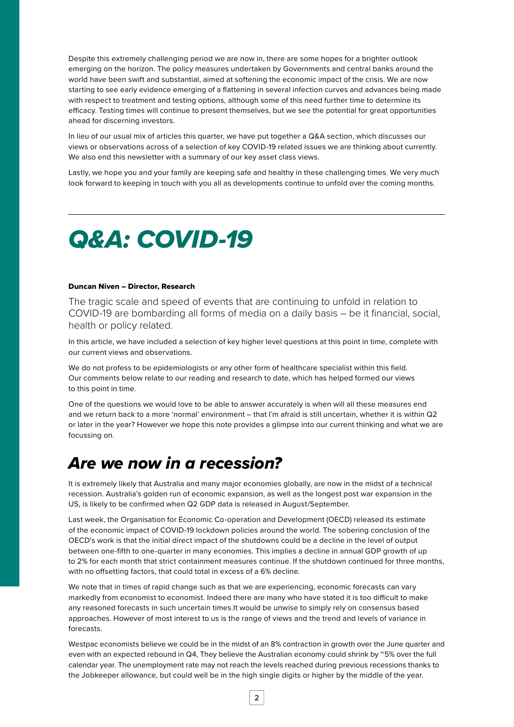Despite this extremely challenging period we are now in, there are some hopes for a brighter outlook emerging on the horizon. The policy measures undertaken by Governments and central banks around the world have been swift and substantial, aimed at softening the economic impact of the crisis. We are now starting to see early evidence emerging of a flattening in several infection curves and advances being made with respect to treatment and testing options, although some of this need further time to determine its efficacy. Testing times will continue to present themselves, but we see the potential for great opportunities ahead for discerning investors.

In lieu of our usual mix of articles this quarter, we have put together a Q&A section, which discusses our views or observations across of a selection of key COVID-19 related issues we are thinking about currently. We also end this newsletter with a summary of our key asset class views.

Lastly, we hope you and your family are keeping safe and healthy in these challenging times. We very much look forward to keeping in touch with you all as developments continue to unfold over the coming months.

# *Q&A: COVID-19*

#### Duncan Niven – Director, Research

The tragic scale and speed of events that are continuing to unfold in relation to COVID-19 are bombarding all forms of media on a daily basis – be it financial, social, health or policy related.

In this article, we have included a selection of key higher level questions at this point in time, complete with our current views and observations.

We do not profess to be epidemiologists or any other form of healthcare specialist within this field. Our comments below relate to our reading and research to date, which has helped formed our views to this point in time.

One of the questions we would love to be able to answer accurately is when will all these measures end and we return back to a more 'normal' environment – that I'm afraid is still uncertain, whether it is within Q2 or later in the year? However we hope this note provides a glimpse into our current thinking and what we are focussing on.

# *Are we now in a recession?*

It is extremely likely that Australia and many major economies globally, are now in the midst of a technical recession. Australia's golden run of economic expansion, as well as the longest post war expansion in the US, is likely to be confirmed when Q2 GDP data is released in August/September.

Last week, the Organisation for Economic Co-operation and Development (OECD) released its estimate of the economic impact of COVID-19 lockdown policies around the world. The sobering conclusion of the OECD's work is that the initial direct impact of the shutdowns could be a decline in the level of output between one-fifth to one-quarter in many economies. This implies a decline in annual GDP growth of up to 2% for each month that strict containment measures continue. If the shutdown continued for three months, with no offsetting factors, that could total in excess of a 6% decline.

We note that in times of rapid change such as that we are experiencing, economic forecasts can vary markedly from economist to economist. Indeed there are many who have stated it is too difficult to make any reasoned forecasts in such uncertain times.It would be unwise to simply rely on consensus based approaches. However of most interest to us is the range of views and the trend and levels of variance in forecasts.

Westpac economists believe we could be in the midst of an 8% contraction in growth over the June quarter and even with an expected rebound in Q4, They believe the Australian economy could shrink by ~5% over the full calendar year. The unemployment rate may not reach the levels reached during previous recessions thanks to the Jobkeeper allowance, but could well be in the high single digits or higher by the middle of the year.

2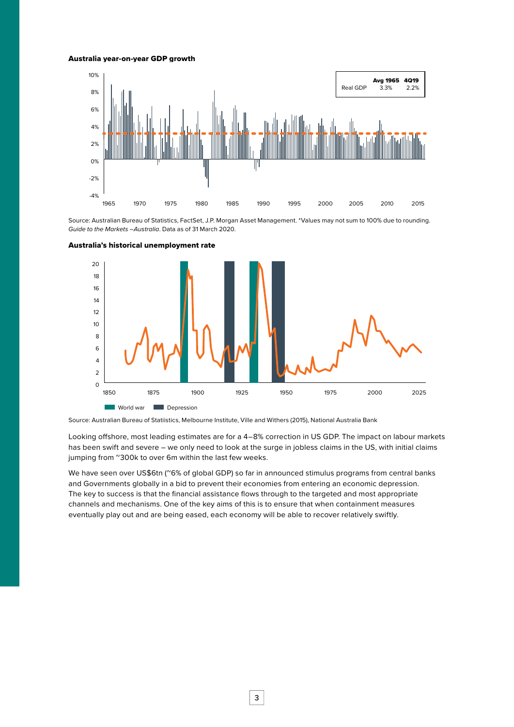#### Australia year-on-year GDP growth



Source: Australian Bureau of Statistics, FactSet, J.P. Morgan Asset Management. \*Values may not sum to 100% due to rounding. *Guide to the Markets –Australia*. Data as of 31 March 2020.





Source: Australian Bureau of Statiistics, Melbourne Institute, Ville and Withers (2015), National Australia Bank

Looking offshore, most leading estimates are for a 4–8% correction in US GDP. The impact on labour markets has been swift and severe – we only need to look at the surge in jobless claims in the US, with initial claims jumping from "300k to over 6m within the last few weeks.

We have seen over US\$6tn (~6% of global GDP) so far in announced stimulus programs from central banks and Governments globally in a bid to prevent their economies from entering an economic depression. The key to success is that the financial assistance flows through to the targeted and most appropriate channels and mechanisms. One of the key aims of this is to ensure that when containment measures eventually play out and are being eased, each economy will be able to recover relatively swiftly.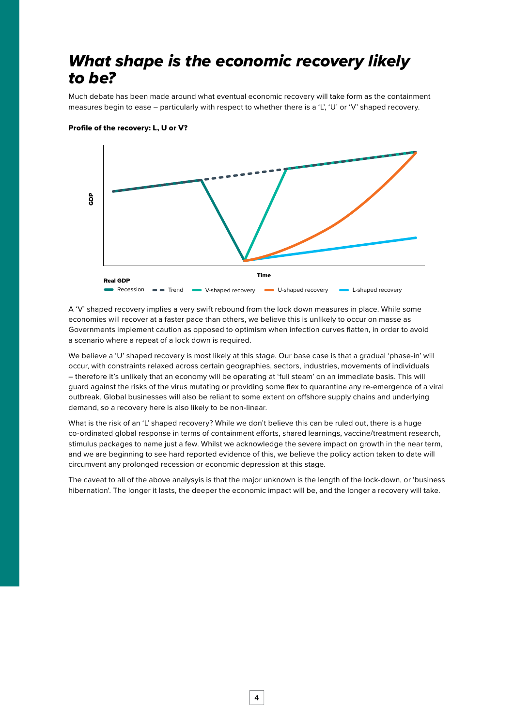# *What shape is the economic recovery likely to be?*

Much debate has been made around what eventual economic recovery will take form as the containment measures begin to ease – particularly with respect to whether there is a 'L', 'U' or 'V' shaped recovery.



Profile of the recovery: L, U or V?

A 'V' shaped recovery implies a very swift rebound from the lock down measures in place. While some economies will recover at a faster pace than others, we believe this is unlikely to occur on masse as Governments implement caution as opposed to optimism when infection curves flatten, in order to avoid a scenario where a repeat of a lock down is required.

We believe a 'U' shaped recovery is most likely at this stage. Our base case is that a gradual 'phase-in' will occur, with constraints relaxed across certain geographies, sectors, industries, movements of individuals – therefore it's unlikely that an economy will be operating at 'full steam' on an immediate basis. This will guard against the risks of the virus mutating or providing some flex to quarantine any re-emergence of a viral outbreak. Global businesses will also be reliant to some extent on offshore supply chains and underlying demand, so a recovery here is also likely to be non-linear.

What is the risk of an 'L' shaped recovery? While we don't believe this can be ruled out, there is a huge co-ordinated global response in terms of containment efforts, shared learnings, vaccine/treatment research, stimulus packages to name just a few. Whilst we acknowledge the severe impact on growth in the near term, and we are beginning to see hard reported evidence of this, we believe the policy action taken to date will circumvent any prolonged recession or economic depression at this stage.

The caveat to all of the above analysyis is that the major unknown is the length of the lock-down, or 'business hibernation'. The longer it lasts, the deeper the economic impact will be, and the longer a recovery will take.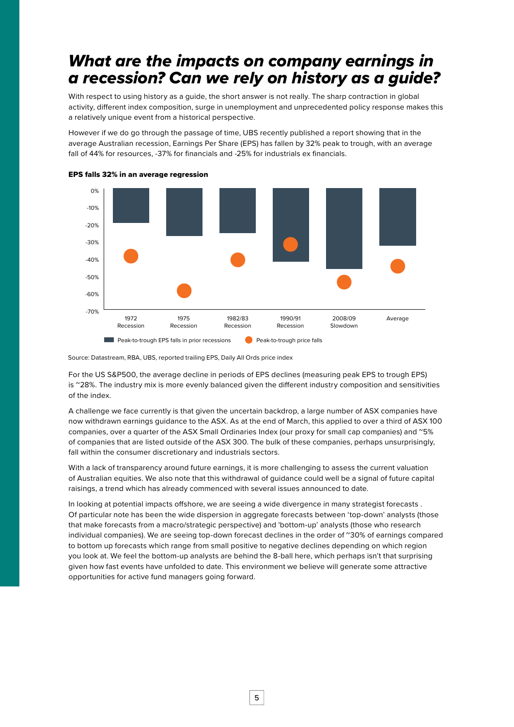# *What are the impacts on company earnings in a recession? Can we rely on history as a guide?*

With respect to using history as a guide, the short answer is not really. The sharp contraction in global activity, different index composition, surge in unemployment and unprecedented policy response makes this a relatively unique event from a historical perspective.

However if we do go through the passage of time, UBS recently published a report showing that in the average Australian recession, Earnings Per Share (EPS) has fallen by 32% peak to trough, with an average fall of 44% for resources, -37% for financials and -25% for industrials ex financials.





Source: Datastream, RBA, UBS, reported trailing EPS, Daily All Ords price index

For the US S&P500, the average decline in periods of EPS declines (measuring peak EPS to trough EPS) is ~28%. The industry mix is more evenly balanced given the different industry composition and sensitivities of the index.

A challenge we face currently is that given the uncertain backdrop, a large number of ASX companies have now withdrawn earnings guidance to the ASX. As at the end of March, this applied to over a third of ASX 100 companies, over a quarter of the ASX Small Ordinaries Index (our proxy for small cap companies) and "5% of companies that are listed outside of the ASX 300. The bulk of these companies, perhaps unsurprisingly, fall within the consumer discretionary and industrials sectors.

With a lack of transparency around future earnings, it is more challenging to assess the current valuation of Australian equities. We also note that this withdrawal of guidance could well be a signal of future capital raisings, a trend which has already commenced with several issues announced to date.

In looking at potential impacts offshore, we are seeing a wide divergence in many strategist forecasts . Of particular note has been the wide dispersion in aggregate forecasts between 'top-down' analysts (those that make forecasts from a macro/strategic perspective) and 'bottom-up' analysts (those who research individual companies). We are seeing top-down forecast declines in the order of ~30% of earnings compared to bottom up forecasts which range from small positive to negative declines depending on which region you look at. We feel the bottom-up analysts are behind the 8-ball here, which perhaps isn't that surprising given how fast events have unfolded to date. This environment we believe will generate some attractive opportunities for active fund managers going forward.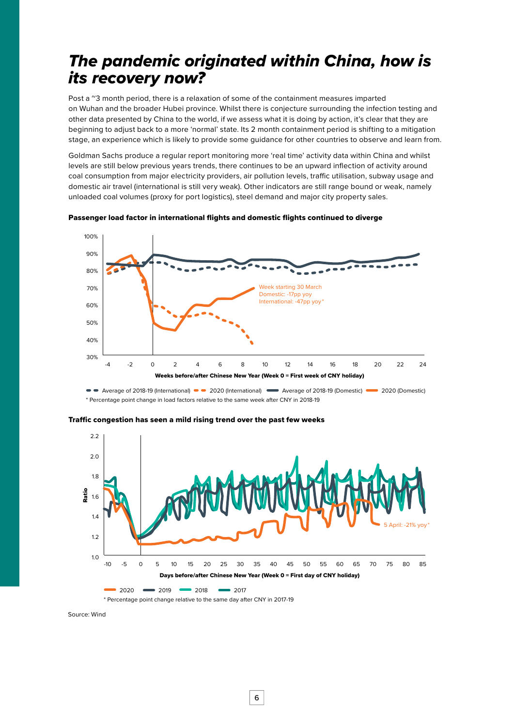# *The pandemic originated within China, how is its recovery now?*

Post a  $\degree$ 3 month period, there is a relaxation of some of the containment measures imparted on Wuhan and the broader Hubei province. Whilst there is conjecture surrounding the infection testing and other data presented by China to the world, if we assess what it is doing by action, it's clear that they are beginning to adjust back to a more 'normal' state. Its 2 month containment period is shifting to a mitigation stage, an experience which is likely to provide some guidance for other countries to observe and learn from.

Goldman Sachs produce a regular report monitoring more 'real time' activity data within China and whilst levels are still below previous years trends, there continues to be an upward inflection of activity around coal consumption from major electricity providers, air pollution levels, traffic utilisation, subway usage and domestic air travel (international is still very weak). Other indicators are still range bound or weak, namely unloaded coal volumes (proxy for port logistics), steel demand and major city property sales.



Passenger load factor in international flights and domestic flights continued to diverge

\* Percentage point change in load factors relative to the same week after CNY in 2018-19



Traffic congestion has seen a mild rising trend over the past few weeks

Source: Wind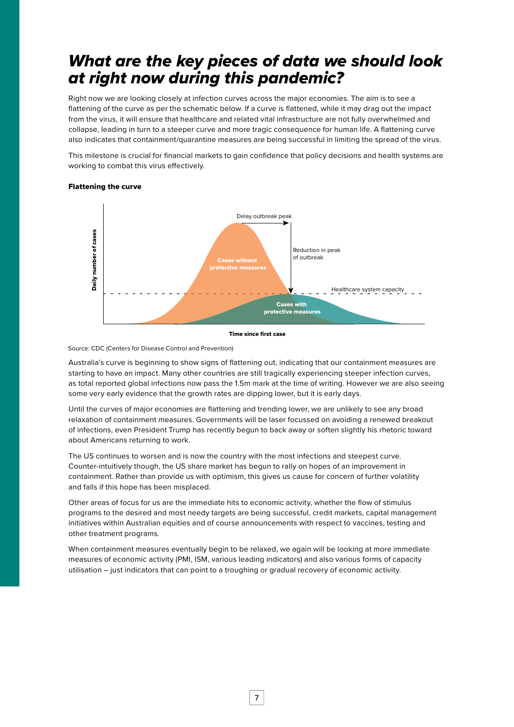# *What are the key pieces of data we should look at right now during this pandemic?*

Right now we are looking closely at infection curves across the major economies. The aim is to see a flattening of the curve as per the schematic below. If a curve is flattened, while it may drag out the impact from the virus, it will ensure that healthcare and related vital infrastructure are not fully overwhelmed and collapse, leading in turn to a steeper curve and more tragic consequence for human life. A flattening curve also indicates that containment/quarantine measures are being successful in limiting the spread of the virus.

This milestone is crucial for financial markets to gain confidence that policy decisions and health systems are working to combat this virus effectively.

## Delay outbreak peak Daily number of cases Daily number of cases Reduction in peak without of outbreak ctive measur Healthcare system capacity Cases with protective measures

#### Flattening the curve

Time since first case

Source: CDC (Centers for Disease Control and Prevention)

Australia's curve is beginning to show signs of flattening out, indicating that our containment measures are starting to have an impact. Many other countries are still tragically experiencing steeper infection curves, as total reported global infections now pass the 1.5m mark at the time of writing. However we are also seeing some very early evidence that the growth rates are dipping lower, but it is early days.

Until the curves of major economies are flattening and trending lower, we are unlikely to see any broad relaxation of containment measures. Governments will be laser focussed on avoiding a renewed breakout of infections, even President Trump has recently begun to back away or soften slightly his rhetoric toward about Americans returning to work.

The US continues to worsen and is now the country with the most infections and steepest curve. Counter-intuitively though, the US share market has begun to rally on hopes of an improvement in containment. Rather than provide us with optimism, this gives us cause for concern of further volatility and falls if this hope has been misplaced.

Other areas of focus for us are the immediate hits to economic activity, whether the flow of stimulus programs to the desired and most needy targets are being successful, credit markets, capital management initiatives within Australian equities and of course announcements with respect to vaccines, testing and other treatment programs.

When containment measures eventually begin to be relaxed, we again will be looking at more immediate measures of economic activity (PMI, ISM, various leading indicators) and also various forms of capacity utilisation – just indicators that can point to a troughing or gradual recovery of economic activity.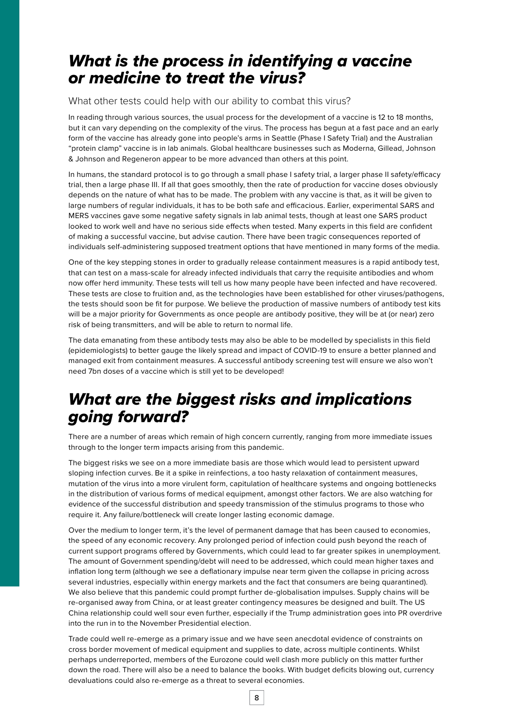# *What is the process in identifying a vaccine or medicine to treat the virus?*

What other tests could help with our ability to combat this virus?

In reading through various sources, the usual process for the development of a vaccine is 12 to 18 months, but it can vary depending on the complexity of the virus. The process has begun at a fast pace and an early form of the vaccine has already gone into people's arms in Seattle (Phase I Safety Trial) and the Australian "protein clamp" vaccine is in lab animals. Global healthcare businesses such as Moderna, Gillead, Johnson & Johnson and Regeneron appear to be more advanced than others at this point.

In humans, the standard protocol is to go through a small phase I safety trial, a larger phase II safety/efficacy trial, then a large phase III. If all that goes smoothly, then the rate of production for vaccine doses obviously depends on the nature of what has to be made. The problem with any vaccine is that, as it will be given to large numbers of regular individuals, it has to be both safe and efficacious. Earlier, experimental SARS and MERS vaccines gave some negative safety signals in lab animal tests, though at least one SARS product looked to work well and have no serious side effects when tested. Many experts in this field are confident of making a successful vaccine, but advise caution. There have been tragic consequences reported of individuals self-administering supposed treatment options that have mentioned in many forms of the media.

One of the key stepping stones in order to gradually release containment measures is a rapid antibody test, that can test on a mass-scale for already infected individuals that carry the requisite antibodies and whom now offer herd immunity. These tests will tell us how many people have been infected and have recovered. These tests are close to fruition and, as the technologies have been established for other viruses/pathogens, the tests should soon be fit for purpose. We believe the production of massive numbers of antibody test kits will be a major priority for Governments as once people are antibody positive, they will be at (or near) zero risk of being transmitters, and will be able to return to normal life.

The data emanating from these antibody tests may also be able to be modelled by specialists in this field (epidemiologists) to better gauge the likely spread and impact of COVID-19 to ensure a better planned and managed exit from containment measures. A successful antibody screening test will ensure we also won't need 7bn doses of a vaccine which is still yet to be developed!

# *What are the biggest risks and implications going forward?*

There are a number of areas which remain of high concern currently, ranging from more immediate issues through to the longer term impacts arising from this pandemic.

The biggest risks we see on a more immediate basis are those which would lead to persistent upward sloping infection curves. Be it a spike in reinfections, a too hasty relaxation of containment measures, mutation of the virus into a more virulent form, capitulation of healthcare systems and ongoing bottlenecks in the distribution of various forms of medical equipment, amongst other factors. We are also watching for evidence of the successful distribution and speedy transmission of the stimulus programs to those who require it. Any failure/bottleneck will create longer lasting economic damage.

Over the medium to longer term, it's the level of permanent damage that has been caused to economies, the speed of any economic recovery. Any prolonged period of infection could push beyond the reach of current support programs offered by Governments, which could lead to far greater spikes in unemployment. The amount of Government spending/debt will need to be addressed, which could mean higher taxes and inflation long term (although we see a deflationary impulse near term given the collapse in pricing across several industries, especially within energy markets and the fact that consumers are being quarantined). We also believe that this pandemic could prompt further de-globalisation impulses. Supply chains will be re-organised away from China, or at least greater contingency measures be designed and built. The US China relationship could well sour even further, especially if the Trump administration goes into PR overdrive into the run in to the November Presidential election.

Trade could well re-emerge as a primary issue and we have seen anecdotal evidence of constraints on cross border movement of medical equipment and supplies to date, across multiple continents. Whilst perhaps underreported, members of the Eurozone could well clash more publicly on this matter further down the road. There will also be a need to balance the books. With budget deficits blowing out, currency devaluations could also re-emerge as a threat to several economies.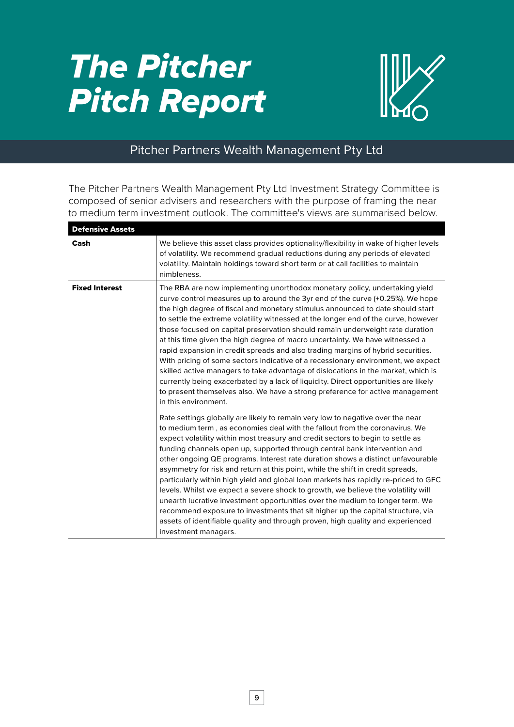# *The Pitcher Pitch Report*



## Pitcher Partners Wealth Management Pty Ltd

The Pitcher Partners Wealth Management Pty Ltd Investment Strategy Committee is composed of senior advisers and researchers with the purpose of framing the near to medium term investment outlook. The committee's views are summarised below.

| <b>Defensive Assets</b> |                                                                                                                                                                                                                                                                                                                                                                                                                                                                                                                                                                                                                                                                                                                                                                                                                                                                                                                                                                    |
|-------------------------|--------------------------------------------------------------------------------------------------------------------------------------------------------------------------------------------------------------------------------------------------------------------------------------------------------------------------------------------------------------------------------------------------------------------------------------------------------------------------------------------------------------------------------------------------------------------------------------------------------------------------------------------------------------------------------------------------------------------------------------------------------------------------------------------------------------------------------------------------------------------------------------------------------------------------------------------------------------------|
| Cash                    | We believe this asset class provides optionality/flexibility in wake of higher levels<br>of volatility. We recommend gradual reductions during any periods of elevated<br>volatility. Maintain holdings toward short term or at call facilities to maintain<br>nimbleness.                                                                                                                                                                                                                                                                                                                                                                                                                                                                                                                                                                                                                                                                                         |
| <b>Fixed Interest</b>   | The RBA are now implementing unorthodox monetary policy, undertaking yield<br>curve control measures up to around the 3yr end of the curve (+0.25%). We hope<br>the high degree of fiscal and monetary stimulus announced to date should start<br>to settle the extreme volatility witnessed at the longer end of the curve, however<br>those focused on capital preservation should remain underweight rate duration<br>at this time given the high degree of macro uncertainty. We have witnessed a<br>rapid expansion in credit spreads and also trading margins of hybrid securities.<br>With pricing of some sectors indicative of a recessionary environment, we expect<br>skilled active managers to take advantage of dislocations in the market, which is<br>currently being exacerbated by a lack of liquidity. Direct opportunities are likely<br>to present themselves also. We have a strong preference for active management<br>in this environment. |
|                         | Rate settings globally are likely to remain very low to negative over the near<br>to medium term, as economies deal with the fallout from the coronavirus. We<br>expect volatility within most treasury and credit sectors to begin to settle as<br>funding channels open up, supported through central bank intervention and<br>other ongoing QE programs. Interest rate duration shows a distinct unfavourable<br>asymmetry for risk and return at this point, while the shift in credit spreads,<br>particularly within high yield and global loan markets has rapidly re-priced to GFC<br>levels. Whilst we expect a severe shock to growth, we believe the volatility will<br>unearth lucrative investment opportunities over the medium to longer term. We<br>recommend exposure to investments that sit higher up the capital structure, via<br>assets of identifiable quality and through proven, high quality and experienced<br>investment managers.     |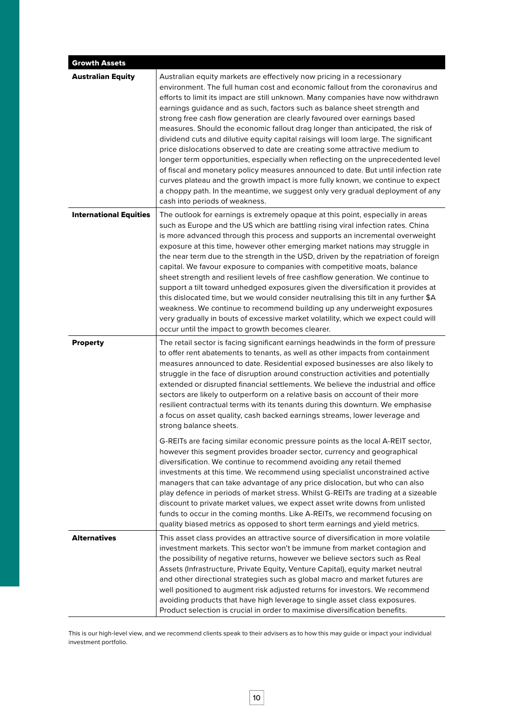| <b>Growth Assets</b>          |                                                                                                                                                                                                                                                                                                                                                                                                                                                                                                                                                                                                                                                                                                                                                                                                                                                                                                                                                                                                                                                  |
|-------------------------------|--------------------------------------------------------------------------------------------------------------------------------------------------------------------------------------------------------------------------------------------------------------------------------------------------------------------------------------------------------------------------------------------------------------------------------------------------------------------------------------------------------------------------------------------------------------------------------------------------------------------------------------------------------------------------------------------------------------------------------------------------------------------------------------------------------------------------------------------------------------------------------------------------------------------------------------------------------------------------------------------------------------------------------------------------|
| <b>Australian Equity</b>      | Australian equity markets are effectively now pricing in a recessionary<br>environment. The full human cost and economic fallout from the coronavirus and<br>efforts to limit its impact are still unknown. Many companies have now withdrawn<br>earnings guidance and as such, factors such as balance sheet strength and<br>strong free cash flow generation are clearly favoured over earnings based<br>measures. Should the economic fallout drag longer than anticipated, the risk of<br>dividend cuts and dilutive equity capital raisings will loom large. The significant<br>price dislocations observed to date are creating some attractive medium to<br>longer term opportunities, especially when reflecting on the unprecedented level<br>of fiscal and monetary policy measures announced to date. But until infection rate<br>curves plateau and the growth impact is more fully known, we continue to expect<br>a choppy path. In the meantime, we suggest only very gradual deployment of any<br>cash into periods of weakness. |
| <b>International Equities</b> | The outlook for earnings is extremely opaque at this point, especially in areas<br>such as Europe and the US which are battling rising viral infection rates. China<br>is more advanced through this process and supports an incremental overweight<br>exposure at this time, however other emerging market nations may struggle in<br>the near term due to the strength in the USD, driven by the repatriation of foreign<br>capital. We favour exposure to companies with competitive moats, balance<br>sheet strength and resilient levels of free cashflow generation. We continue to<br>support a tilt toward unhedged exposures given the diversification it provides at<br>this dislocated time, but we would consider neutralising this tilt in any further \$A<br>weakness. We continue to recommend building up any underweight exposures<br>very gradually in bouts of excessive market volatility, which we expect could will<br>occur until the impact to growth becomes clearer.                                                   |
| <b>Property</b>               | The retail sector is facing significant earnings headwinds in the form of pressure<br>to offer rent abatements to tenants, as well as other impacts from containment<br>measures announced to date. Residential exposed businesses are also likely to<br>struggle in the face of disruption around construction activities and potentially<br>extended or disrupted financial settlements. We believe the industrial and office<br>sectors are likely to outperform on a relative basis on account of their more<br>resilient contractual terms with its tenants during this downturn. We emphasise<br>a focus on asset quality, cash backed earnings streams, lower leverage and<br>strong balance sheets.<br>G-REITs are facing similar economic pressure points as the local A-REIT sector,                                                                                                                                                                                                                                                   |
|                               | however this segment provides broader sector, currency and geographical<br>diversification. We continue to recommend avoiding any retail themed<br>investments at this time. We recommend using specialist unconstrained active<br>managers that can take advantage of any price dislocation, but who can also<br>play defence in periods of market stress. Whilst G-REITs are trading at a sizeable<br>discount to private market values, we expect asset write downs from unlisted<br>funds to occur in the coming months. Like A-REITs, we recommend focusing on<br>quality biased metrics as opposed to short term earnings and yield metrics.                                                                                                                                                                                                                                                                                                                                                                                               |
| <b>Alternatives</b>           | This asset class provides an attractive source of diversification in more volatile<br>investment markets. This sector won't be immune from market contagion and<br>the possibility of negative returns, however we believe sectors such as Real<br>Assets (Infrastructure, Private Equity, Venture Capital), equity market neutral<br>and other directional strategies such as global macro and market futures are<br>well positioned to augment risk adjusted returns for investors. We recommend<br>avoiding products that have high leverage to single asset class exposures.<br>Product selection is crucial in order to maximise diversification benefits.                                                                                                                                                                                                                                                                                                                                                                                  |

This is our high-level view, and we recommend clients speak to their advisers as to how this may guide or impact your individual investment portfolio.